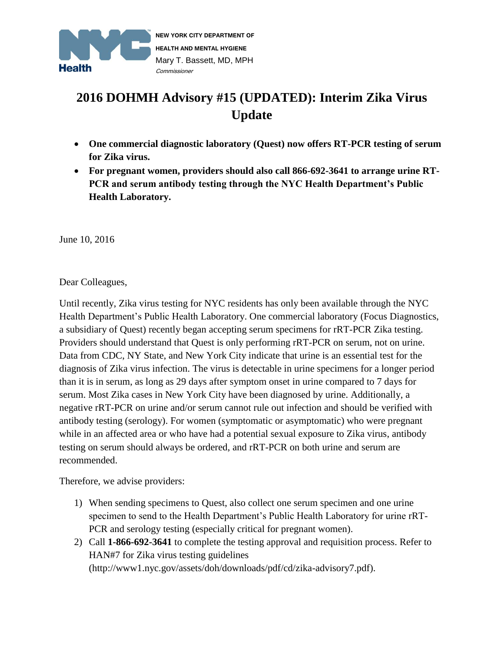

## **2016 DOHMH Advisory #15 (UPDATED): Interim Zika Virus Update**

- **One commercial diagnostic laboratory (Quest) now offers RT-PCR testing of serum for Zika virus.**
- **For pregnant women, providers should also call 866-692-3641 to arrange urine RT-PCR and serum antibody testing through the NYC Health Department's Public Health Laboratory.**

June 10, 2016

Dear Colleagues,

Until recently, Zika virus testing for NYC residents has only been available through the NYC Health Department's Public Health Laboratory. One commercial laboratory (Focus Diagnostics, a subsidiary of Quest) recently began accepting serum specimens for rRT-PCR Zika testing. Providers should understand that Quest is only performing rRT-PCR on serum, not on urine. Data from CDC, NY State, and New York City indicate that urine is an essential test for the diagnosis of Zika virus infection. The virus is detectable in urine specimens for a longer period than it is in serum, as long as 29 days after symptom onset in urine compared to 7 days for serum. Most Zika cases in New York City have been diagnosed by urine. Additionally, a negative rRT-PCR on urine and/or serum cannot rule out infection and should be verified with antibody testing (serology). For women (symptomatic or asymptomatic) who were pregnant while in an affected area or who have had a potential sexual exposure to Zika virus, antibody testing on serum should always be ordered, and rRT-PCR on both urine and serum are recommended.

Therefore, we advise providers:

- 1) When sending specimens to Quest, also collect one serum specimen and one urine specimen to send to the Health Department's Public Health Laboratory for urine rRT-PCR and serology testing (especially critical for pregnant women).
- 2) Call **1-866-692-3641** to complete the testing approval and requisition process. Refer to HAN#7 for Zika virus testing guidelines (http://www1.nyc.gov/assets/doh/downloads/pdf/cd/zika-advisory7.pdf).